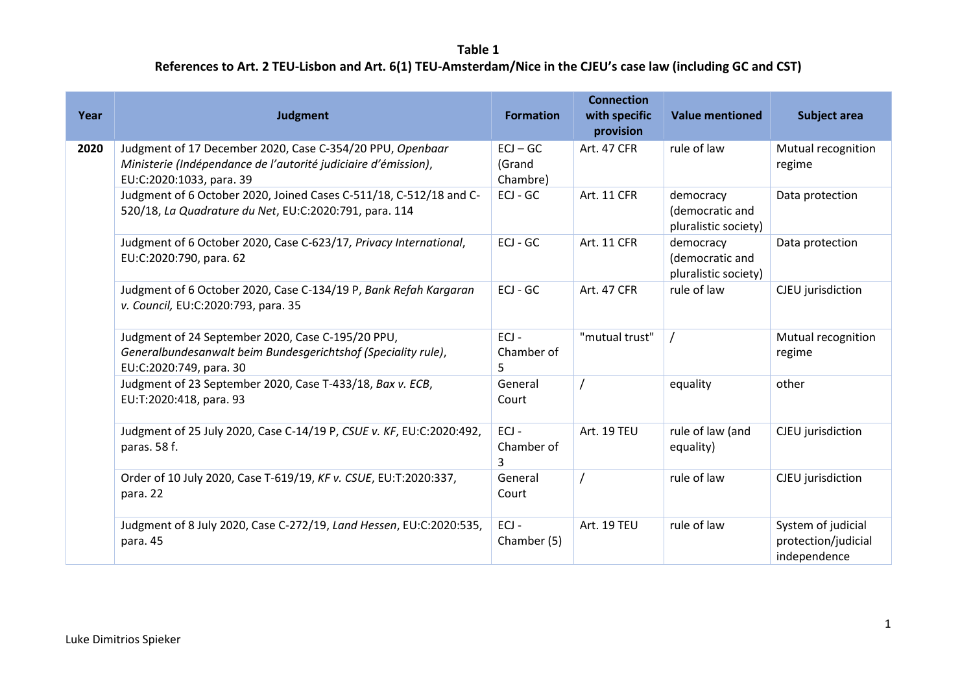| Year | <b>Judgment</b>                                                                                                                                         | <b>Formation</b>                 | <b>Connection</b><br>with specific<br>provision | <b>Value mentioned</b>                               | <b>Subject area</b>                                       |
|------|---------------------------------------------------------------------------------------------------------------------------------------------------------|----------------------------------|-------------------------------------------------|------------------------------------------------------|-----------------------------------------------------------|
| 2020 | Judgment of 17 December 2020, Case C-354/20 PPU, Openbaar<br>Ministerie (Indépendance de l'autorité judiciaire d'émission),<br>EU:C:2020:1033, para. 39 | $ECJ - GC$<br>(Grand<br>Chambre) | Art. 47 CFR                                     | rule of law                                          | Mutual recognition<br>regime                              |
|      | Judgment of 6 October 2020, Joined Cases C-511/18, C-512/18 and C-<br>520/18, La Quadrature du Net, EU:C:2020:791, para. 114                            | ECJ - GC                         | Art. 11 CFR                                     | democracy<br>(democratic and<br>pluralistic society) | Data protection                                           |
|      | Judgment of 6 October 2020, Case C-623/17, Privacy International,<br>EU:C:2020:790, para. 62                                                            | ECJ - GC                         | Art. 11 CFR                                     | democracy<br>(democratic and<br>pluralistic society) | Data protection                                           |
|      | Judgment of 6 October 2020, Case C-134/19 P, Bank Refah Kargaran<br>v. Council, EU:C:2020:793, para. 35                                                 | $ECJ - GC$                       | <b>Art. 47 CFR</b>                              | rule of law                                          | CJEU jurisdiction                                         |
|      | Judgment of 24 September 2020, Case C-195/20 PPU,<br>Generalbundesanwalt beim Bundesgerichtshof (Speciality rule),<br>EU:C:2020:749, para. 30           | $ECJ -$<br>Chamber of<br>5       | "mutual trust"                                  |                                                      | Mutual recognition<br>regime                              |
|      | Judgment of 23 September 2020, Case T-433/18, Bax v. ECB,<br>EU:T:2020:418, para. 93                                                                    | General<br>Court                 |                                                 | equality                                             | other                                                     |
|      | Judgment of 25 July 2020, Case C-14/19 P, CSUE v. KF, EU:C:2020:492,<br>paras. 58 f.                                                                    | $ECJ -$<br>Chamber of<br>3       | Art. 19 TEU                                     | rule of law (and<br>equality)                        | CJEU jurisdiction                                         |
|      | Order of 10 July 2020, Case T-619/19, KF v. CSUE, EU:T:2020:337,<br>para. 22                                                                            | General<br>Court                 |                                                 | rule of law                                          | CJEU jurisdiction                                         |
|      | Judgment of 8 July 2020, Case C-272/19, Land Hessen, EU:C:2020:535,<br>para. 45                                                                         | $ECJ -$<br>Chamber (5)           | Art. 19 TEU                                     | rule of law                                          | System of judicial<br>protection/judicial<br>independence |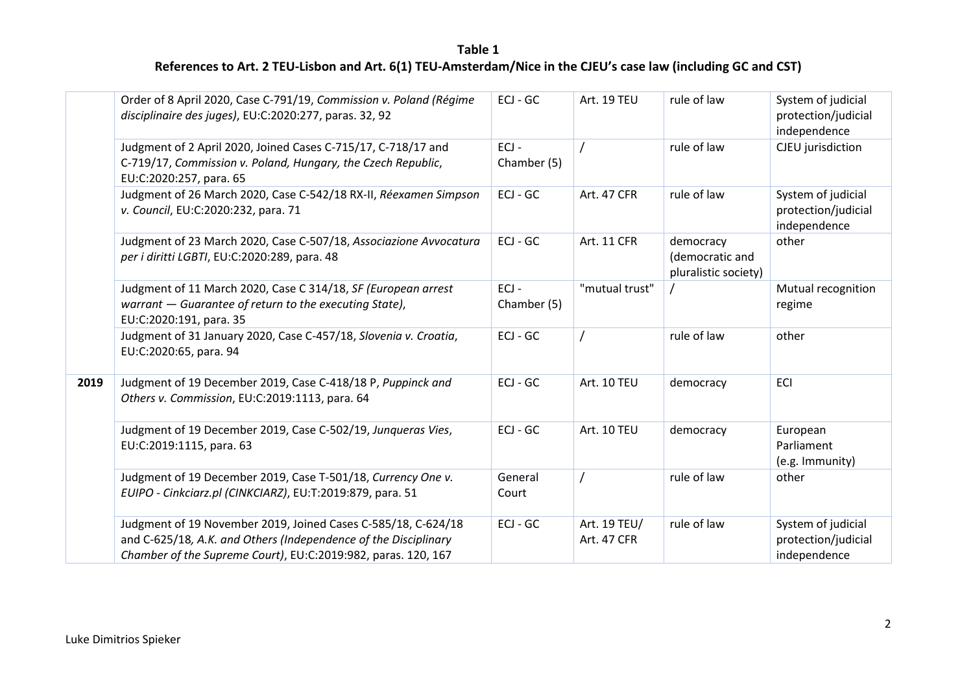|      | Order of 8 April 2020, Case C-791/19, Commission v. Poland (Régime<br>disciplinaire des juges), EU:C:2020:277, paras. 32, 92                                                                      | ECJ - GC               | Art. 19 TEU                 | rule of law                                          | System of judicial<br>protection/judicial<br>independence |
|------|---------------------------------------------------------------------------------------------------------------------------------------------------------------------------------------------------|------------------------|-----------------------------|------------------------------------------------------|-----------------------------------------------------------|
|      | Judgment of 2 April 2020, Joined Cases C-715/17, C-718/17 and<br>C-719/17, Commission v. Poland, Hungary, the Czech Republic,<br>EU:C:2020:257, para. 65                                          | $ECJ -$<br>Chamber (5) |                             | rule of law                                          | CJEU jurisdiction                                         |
|      | Judgment of 26 March 2020, Case C-542/18 RX-II, Réexamen Simpson<br>v. Council, EU:C:2020:232, para. 71                                                                                           | ECJ - GC               | <b>Art. 47 CFR</b>          | rule of law                                          | System of judicial<br>protection/judicial<br>independence |
|      | Judgment of 23 March 2020, Case C-507/18, Associazione Avvocatura<br>per i diritti LGBTI, EU:C:2020:289, para. 48                                                                                 | ECJ - GC               | Art. 11 CFR                 | democracy<br>(democratic and<br>pluralistic society) | other                                                     |
|      | Judgment of 11 March 2020, Case C 314/18, SF (European arrest<br>warrant - Guarantee of return to the executing State),<br>EU:C:2020:191, para. 35                                                | $ECJ -$<br>Chamber (5) | "mutual trust"              |                                                      | Mutual recognition<br>regime                              |
|      | Judgment of 31 January 2020, Case C-457/18, Slovenia v. Croatia,<br>EU:C:2020:65, para. 94                                                                                                        | $ECJ - GC$             |                             | rule of law                                          | other                                                     |
| 2019 | Judgment of 19 December 2019, Case C-418/18 P, Puppinck and<br>Others v. Commission, EU:C:2019:1113, para. 64                                                                                     | ECJ - GC               | Art. 10 TEU                 | democracy                                            | ECI                                                       |
|      | Judgment of 19 December 2019, Case C-502/19, Junqueras Vies,<br>EU:C:2019:1115, para. 63                                                                                                          | $ECJ - GC$             | Art. 10 TEU                 | democracy                                            | European<br>Parliament<br>(e.g. Immunity)                 |
|      | Judgment of 19 December 2019, Case T-501/18, Currency One v.<br>EUIPO - Cinkciarz.pl (CINKCIARZ), EU:T:2019:879, para. 51                                                                         | General<br>Court       |                             | rule of law                                          | other                                                     |
|      | Judgment of 19 November 2019, Joined Cases C-585/18, C-624/18<br>and C-625/18, A.K. and Others (Independence of the Disciplinary<br>Chamber of the Supreme Court), EU:C:2019:982, paras. 120, 167 | ECJ - GC               | Art. 19 TEU/<br>Art. 47 CFR | rule of law                                          | System of judicial<br>protection/judicial<br>independence |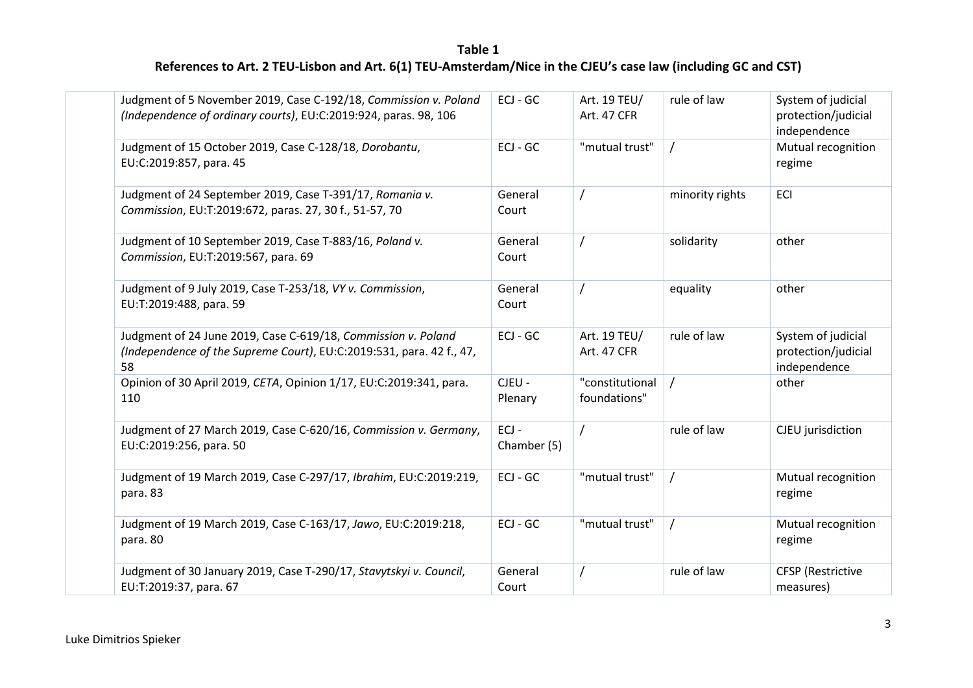|  | Judgment of 5 November 2019, Case C-192/18, Commission v. Poland<br>(Independence of ordinary courts), EU:C:2019:924, paras. 98, 106        | ECJ - GC               | Art. 19 TEU/<br>Art. 47 CFR     | rule of law     | System of judicial<br>protection/judicial<br>independence |
|--|---------------------------------------------------------------------------------------------------------------------------------------------|------------------------|---------------------------------|-----------------|-----------------------------------------------------------|
|  | Judgment of 15 October 2019, Case C-128/18, Dorobantu,<br>EU:C:2019:857, para. 45                                                           | $ECJ - GC$             | "mutual trust"                  |                 | Mutual recognition<br>regime                              |
|  | Judgment of 24 September 2019, Case T-391/17, Romania v.<br>Commission, EU:T:2019:672, paras. 27, 30 f., 51-57, 70                          | General<br>Court       |                                 | minority rights | <b>ECI</b>                                                |
|  | Judgment of 10 September 2019, Case T-883/16, Poland v.<br>Commission, EU:T:2019:567, para. 69                                              | General<br>Court       |                                 | solidarity      | other                                                     |
|  | Judgment of 9 July 2019, Case T-253/18, VY v. Commission,<br>EU:T:2019:488, para. 59                                                        | General<br>Court       |                                 | equality        | other                                                     |
|  | Judgment of 24 June 2019, Case C-619/18, Commission v. Poland<br>(Independence of the Supreme Court), EU:C:2019:531, para. 42 f., 47,<br>58 | $ECJ - GC$             | Art. 19 TEU/<br>Art. 47 CFR     | rule of law     | System of judicial<br>protection/judicial<br>independence |
|  | Opinion of 30 April 2019, CETA, Opinion 1/17, EU:C:2019:341, para.<br>110                                                                   | CJEU -<br>Plenary      | "constitutional<br>foundations" |                 | other                                                     |
|  | Judgment of 27 March 2019, Case C-620/16, Commission v. Germany,<br>EU:C:2019:256, para. 50                                                 | $ECJ -$<br>Chamber (5) |                                 | rule of law     | CJEU jurisdiction                                         |
|  | Judgment of 19 March 2019, Case C-297/17, Ibrahim, EU:C:2019:219,<br>para. 83                                                               | ECJ - GC               | "mutual trust"                  |                 | Mutual recognition<br>regime                              |
|  | Judgment of 19 March 2019, Case C-163/17, Jawo, EU:C:2019:218,<br>para. 80                                                                  | ECJ - GC               | "mutual trust"                  |                 | Mutual recognition<br>regime                              |
|  | Judgment of 30 January 2019, Case T-290/17, Stavytskyi v. Council,<br>EU:T:2019:37, para. 67                                                | General<br>Court       |                                 | rule of law     | <b>CFSP</b> (Restrictive<br>measures)                     |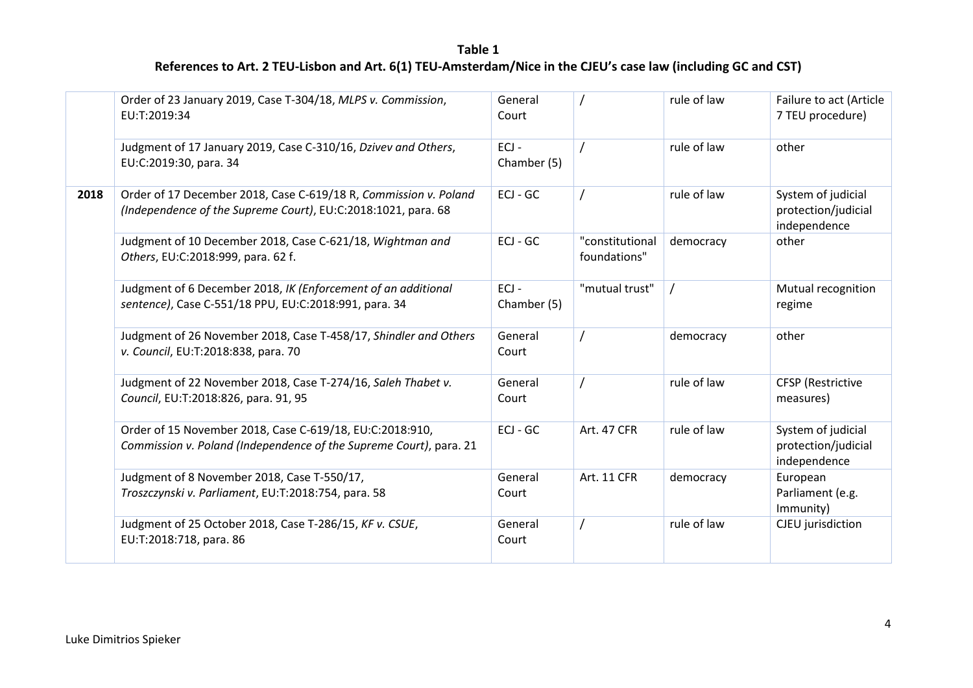|      | Order of 23 January 2019, Case T-304/18, MLPS v. Commission,<br>EU:T:2019:34                                                      | General<br>Court       |                                 | rule of law | Failure to act (Article<br>7 TEU procedure)               |  |  |
|------|-----------------------------------------------------------------------------------------------------------------------------------|------------------------|---------------------------------|-------------|-----------------------------------------------------------|--|--|
|      | Judgment of 17 January 2019, Case C-310/16, Dzivev and Others,<br>EU:C:2019:30, para. 34                                          | $ECJ -$<br>Chamber (5) |                                 | rule of law | other                                                     |  |  |
| 2018 | Order of 17 December 2018, Case C-619/18 R, Commission v. Poland<br>(Independence of the Supreme Court), EU:C:2018:1021, para. 68 | $ECJ - GC$             |                                 | rule of law | System of judicial<br>protection/judicial<br>independence |  |  |
|      | Judgment of 10 December 2018, Case C-621/18, Wightman and<br>Others, EU:C:2018:999, para. 62 f.                                   | ECJ - GC               | "constitutional<br>foundations" | democracy   | other                                                     |  |  |
|      | Judgment of 6 December 2018, IK (Enforcement of an additional<br>sentence), Case C-551/18 PPU, EU:C:2018:991, para. 34            | $ECJ -$<br>Chamber (5) | "mutual trust"                  |             | Mutual recognition<br>regime                              |  |  |
|      | Judgment of 26 November 2018, Case T-458/17, Shindler and Others<br>v. Council, EU:T:2018:838, para. 70                           | General<br>Court       |                                 | democracy   | other                                                     |  |  |
|      | Judgment of 22 November 2018, Case T-274/16, Saleh Thabet v.<br>Council, EU:T:2018:826, para. 91, 95                              | General<br>Court       |                                 | rule of law | <b>CFSP</b> (Restrictive<br>measures)                     |  |  |
|      | Order of 15 November 2018, Case C-619/18, EU:C:2018:910,<br>Commission v. Poland (Independence of the Supreme Court), para. 21    | ECJ - GC               | Art. 47 CFR                     | rule of law | System of judicial<br>protection/judicial<br>independence |  |  |
|      | Judgment of 8 November 2018, Case T-550/17,<br>Troszczynski v. Parliament, EU:T:2018:754, para. 58                                | General<br>Court       | <b>Art. 11 CFR</b>              | democracy   | European<br>Parliament (e.g.<br>Immunity)                 |  |  |
|      | Judgment of 25 October 2018, Case T-286/15, KF v. CSUE,<br>EU:T:2018:718, para. 86                                                | General<br>Court       |                                 | rule of law | CJEU jurisdiction                                         |  |  |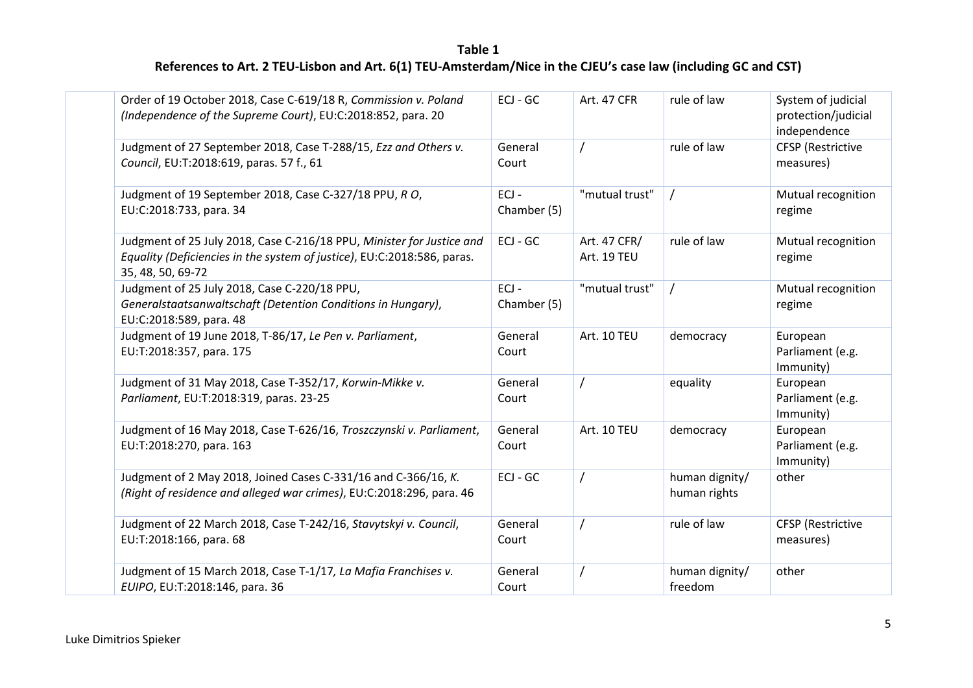| Order of 19 October 2018, Case C-619/18 R, Commission v. Poland<br>(Independence of the Supreme Court), EU:C:2018:852, para. 20                                       | ECJ - GC               | Art. 47 CFR                 | rule of law                    | System of judicial<br>protection/judicial<br>independence |
|-----------------------------------------------------------------------------------------------------------------------------------------------------------------------|------------------------|-----------------------------|--------------------------------|-----------------------------------------------------------|
| Judgment of 27 September 2018, Case T-288/15, Ezz and Others v.<br>Council, EU:T:2018:619, paras. 57 f., 61                                                           | General<br>Court       |                             | rule of law                    | <b>CFSP</b> (Restrictive<br>measures)                     |
| Judgment of 19 September 2018, Case C-327/18 PPU, RO,<br>EU:C:2018:733, para. 34                                                                                      | $ECJ -$<br>Chamber (5) | "mutual trust"              |                                | Mutual recognition<br>regime                              |
| Judgment of 25 July 2018, Case C-216/18 PPU, Minister for Justice and<br>Equality (Deficiencies in the system of justice), EU:C:2018:586, paras.<br>35, 48, 50, 69-72 | ECJ - GC               | Art. 47 CFR/<br>Art. 19 TEU | rule of law                    | Mutual recognition<br>regime                              |
| Judgment of 25 July 2018, Case C-220/18 PPU,<br>Generalstaatsanwaltschaft (Detention Conditions in Hungary),<br>EU:C:2018:589, para. 48                               | $ECJ -$<br>Chamber (5) | "mutual trust"              |                                | Mutual recognition<br>regime                              |
| Judgment of 19 June 2018, T-86/17, Le Pen v. Parliament,<br>EU:T:2018:357, para. 175                                                                                  | General<br>Court       | Art. 10 TEU                 | democracy                      | European<br>Parliament (e.g.<br>Immunity)                 |
| Judgment of 31 May 2018, Case T-352/17, Korwin-Mikke v.<br>Parliament, EU:T:2018:319, paras. 23-25                                                                    | General<br>Court       |                             | equality                       | European<br>Parliament (e.g.<br>Immunity)                 |
| Judgment of 16 May 2018, Case T-626/16, Troszczynski v. Parliament,<br>EU:T:2018:270, para. 163                                                                       | General<br>Court       | Art. 10 TEU                 | democracy                      | European<br>Parliament (e.g.<br>Immunity)                 |
| Judgment of 2 May 2018, Joined Cases C-331/16 and C-366/16, K.<br>(Right of residence and alleged war crimes), EU:C:2018:296, para. 46                                | ECJ - GC               |                             | human dignity/<br>human rights | other                                                     |
| Judgment of 22 March 2018, Case T-242/16, Stavytskyi v. Council,<br>EU:T:2018:166, para. 68                                                                           | General<br>Court       |                             | rule of law                    | <b>CFSP</b> (Restrictive<br>measures)                     |
| Judgment of 15 March 2018, Case T-1/17, La Mafia Franchises v.<br>EUIPO, EU:T:2018:146, para. 36                                                                      | General<br>Court       |                             | human dignity/<br>freedom      | other                                                     |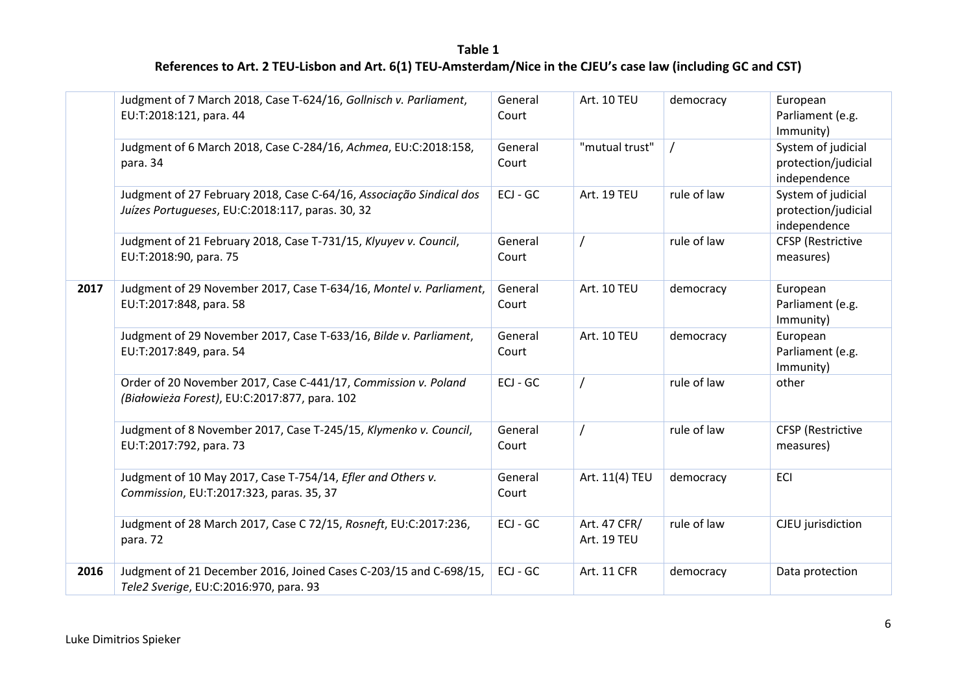|      | Judgment of 7 March 2018, Case T-624/16, Gollnisch v. Parliament,<br>EU:T:2018:121, para. 44                            | General<br>Court | Art. 10 TEU                 | democracy   | European<br>Parliament (e.g.<br>Immunity)                 |
|------|-------------------------------------------------------------------------------------------------------------------------|------------------|-----------------------------|-------------|-----------------------------------------------------------|
|      | Judgment of 6 March 2018, Case C-284/16, Achmea, EU:C:2018:158,<br>para. 34                                             | General<br>Court | "mutual trust"              |             | System of judicial<br>protection/judicial<br>independence |
|      | Judgment of 27 February 2018, Case C-64/16, Associação Sindical dos<br>Juízes Portugueses, EU:C:2018:117, paras. 30, 32 | $ECJ - GC$       | Art. 19 TEU                 | rule of law | System of judicial<br>protection/judicial<br>independence |
|      | Judgment of 21 February 2018, Case T-731/15, Klyuyev v. Council,<br>EU:T:2018:90, para. 75                              | General<br>Court |                             | rule of law | <b>CFSP</b> (Restrictive<br>measures)                     |
| 2017 | Judgment of 29 November 2017, Case T-634/16, Montel v. Parliament,<br>EU:T:2017:848, para. 58                           | General<br>Court | Art. 10 TEU                 | democracy   | European<br>Parliament (e.g.<br>Immunity)                 |
|      | Judgment of 29 November 2017, Case T-633/16, Bilde v. Parliament,<br>EU:T:2017:849, para. 54                            | General<br>Court | Art. 10 TEU                 | democracy   | European<br>Parliament (e.g.<br>Immunity)                 |
|      | Order of 20 November 2017, Case C-441/17, Commission v. Poland<br>(Białowieża Forest), EU:C:2017:877, para. 102         | $ECJ - GC$       |                             | rule of law | other                                                     |
|      | Judgment of 8 November 2017, Case T-245/15, Klymenko v. Council,<br>EU:T:2017:792, para. 73                             | General<br>Court |                             | rule of law | <b>CFSP</b> (Restrictive<br>measures)                     |
|      | Judgment of 10 May 2017, Case T-754/14, Efler and Others v.<br>Commission, EU:T:2017:323, paras. 35, 37                 | General<br>Court | Art. 11(4) TEU              | democracy   | <b>ECI</b>                                                |
|      | Judgment of 28 March 2017, Case C 72/15, Rosneft, EU:C:2017:236,<br>para. 72                                            | ECJ - GC         | Art. 47 CFR/<br>Art. 19 TEU | rule of law | CJEU jurisdiction                                         |
| 2016 | Judgment of 21 December 2016, Joined Cases C-203/15 and C-698/15,<br>Tele2 Sverige, EU:C:2016:970, para. 93             | ECJ - GC         | <b>Art. 11 CFR</b>          | democracy   | Data protection                                           |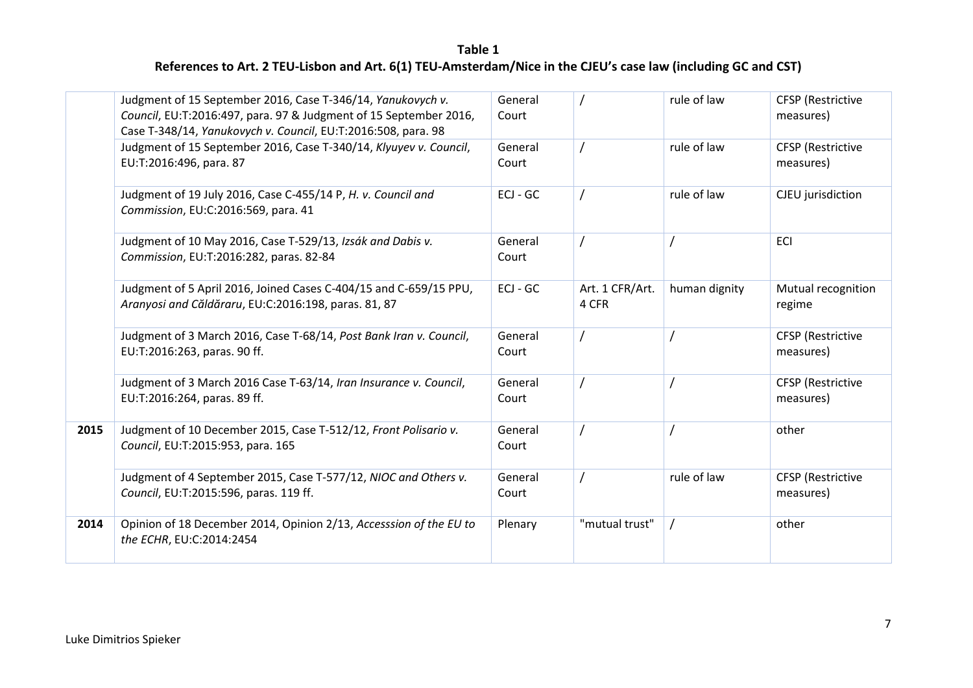|      | Judgment of 15 September 2016, Case T-346/14, Yanukovych v.<br>Council, EU:T:2016:497, para. 97 & Judgment of 15 September 2016,<br>Case T-348/14, Yanukovych v. Council, EU:T:2016:508, para. 98 | General<br>Court |                          | rule of law   | <b>CFSP</b> (Restrictive<br>measures) |
|------|---------------------------------------------------------------------------------------------------------------------------------------------------------------------------------------------------|------------------|--------------------------|---------------|---------------------------------------|
|      | Judgment of 15 September 2016, Case T-340/14, Klyuyev v. Council,<br>EU:T:2016:496, para. 87                                                                                                      | General<br>Court |                          | rule of law   | <b>CFSP</b> (Restrictive<br>measures) |
|      | Judgment of 19 July 2016, Case C-455/14 P, H. v. Council and<br>Commission, EU:C:2016:569, para. 41                                                                                               | $ECJ - GC$       |                          | rule of law   | CJEU jurisdiction                     |
|      | Judgment of 10 May 2016, Case T-529/13, Izsák and Dabis v.<br>Commission, EU:T:2016:282, paras. 82-84                                                                                             | General<br>Court |                          |               | <b>ECI</b>                            |
|      | Judgment of 5 April 2016, Joined Cases C-404/15 and C-659/15 PPU,<br>Aranyosi and Căldăraru, EU:C:2016:198, paras. 81, 87                                                                         | ECJ - GC         | Art. 1 CFR/Art.<br>4 CFR | human dignity | Mutual recognition<br>regime          |
|      | Judgment of 3 March 2016, Case T-68/14, Post Bank Iran v. Council,<br>EU:T:2016:263, paras. 90 ff.                                                                                                | General<br>Court |                          |               | <b>CFSP</b> (Restrictive<br>measures) |
|      | Judgment of 3 March 2016 Case T-63/14, Iran Insurance v. Council,<br>EU:T:2016:264, paras. 89 ff.                                                                                                 | General<br>Court |                          |               | <b>CFSP</b> (Restrictive<br>measures) |
| 2015 | Judgment of 10 December 2015, Case T-512/12, Front Polisario v.<br>Council, EU:T:2015:953, para. 165                                                                                              | General<br>Court |                          |               | other                                 |
|      | Judgment of 4 September 2015, Case T-577/12, NIOC and Others v.<br>Council, EU:T:2015:596, paras. 119 ff.                                                                                         | General<br>Court |                          | rule of law   | <b>CFSP</b> (Restrictive<br>measures) |
| 2014 | Opinion of 18 December 2014, Opinion 2/13, Accesssion of the EU to<br>the ECHR, EU:C:2014:2454                                                                                                    | Plenary          | "mutual trust"           |               | other                                 |